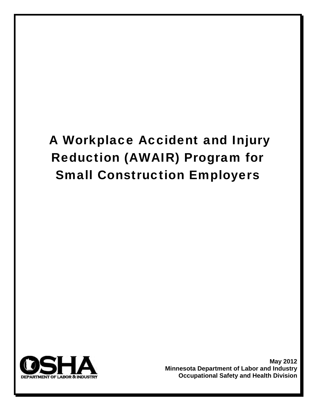## A Workplace Accident and Injury Reduction (AWAIR) Program for Small Construction Employers



**May 2012 Minnesota Department of Labor and Industry Occupational Safety and Health Division**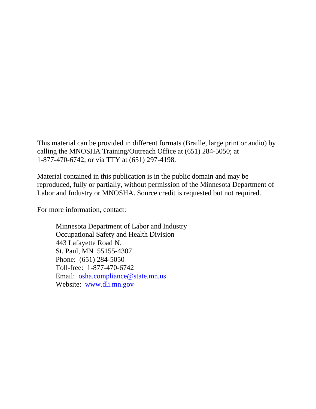This material can be provided in different formats (Braille, large print or audio) by calling the MNOSHA Training/Outreach Office at (651) 284-5050; at 1-877-470-6742; or via TTY at (651) 297-4198.

Material contained in this publication is in the public domain and may be reproduced, fully or partially, without permission of the Minnesota Department of Labor and Industry or MNOSHA. Source credit is requested but not required.

For more information, contact:

 Minnesota Department of Labor and Industry Occupational Safety and Health Division 443 Lafayette Road N. St. Paul, MN 55155-4307 Phone: (651) 284-5050 Toll-free: 1-877-470-6742 Email: osha.compliance@state.mn.us Website: www.dli.mn.gov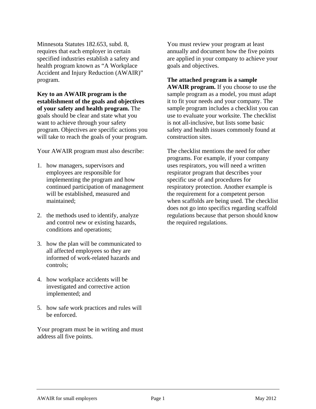Minnesota Statutes 182.653, subd. 8, requires that each employer in certain specified industries establish a safety and health program known as "A Workplace Accident and Injury Reduction (AWAIR)" program.

**Key to an AWAIR program is the establishment of the goals and objectives of your safety and health program.** The goals should be clear and state what you want to achieve through your safety program. Objectives are specific actions you will take to reach the goals of your program.

Your AWAIR program must also describe:

- 1. how managers, supervisors and employees are responsible for implementing the program and how continued participation of management will be established, measured and maintained;
- 2. the methods used to identify, analyze and control new or existing hazards, conditions and operations;
- 3. how the plan will be communicated to all affected employees so they are informed of work-related hazards and controls;
- 4. how workplace accidents will be investigated and corrective action implemented; and
- 5. how safe work practices and rules will be enforced.

Your program must be in writing and must address all five points.

You must review your program at least annually and document how the five points are applied in your company to achieve your goals and objectives.

**The attached program is a sample AWAIR program.** If you choose to use the sample program as a model, you must adapt it to fit your needs and your company. The sample program includes a checklist you can use to evaluate your worksite. The checklist is not all-inclusive, but lists some basic safety and health issues commonly found at construction sites.

The checklist mentions the need for other programs. For example, if your company uses respirators, you will need a written respirator program that describes your specific use of and procedures for respiratory protection. Another example is the requirement for a competent person when scaffolds are being used. The checklist does not go into specifics regarding scaffold regulations because that person should know the required regulations.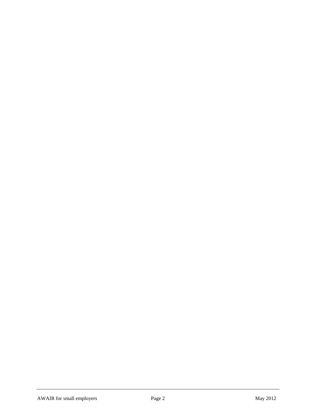## AWAIR for small employers Page 2 May 2012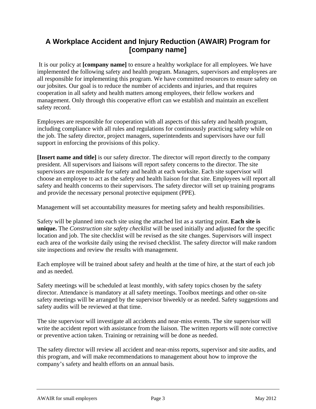## **A Workplace Accident and Injury Reduction (AWAIR) Program for [company name]**

 It is our policy at **[company name]** to ensure a healthy workplace for all employees. We have implemented the following safety and health program. Managers, supervisors and employees are all responsible for implementing this program. We have committed resources to ensure safety on our jobsites. Our goal is to reduce the number of accidents and injuries, and that requires cooperation in all safety and health matters among employees, their fellow workers and management. Only through this cooperative effort can we establish and maintain an excellent safety record.

Employees are responsible for cooperation with all aspects of this safety and health program, including compliance with all rules and regulations for continuously practicing safety while on the job. The safety director, project managers, superintendents and supervisors have our full support in enforcing the provisions of this policy.

**[Insert name and title]** is our safety director. The director will report directly to the company president. All supervisors and liaisons will report safety concerns to the director. The site supervisors are responsible for safety and health at each worksite. Each site supervisor will choose an employee to act as the safety and health liaison for that site. Employees will report all safety and health concerns to their supervisors. The safety director will set up training programs and provide the necessary personal protective equipment (PPE).

Management will set accountability measures for meeting safety and health responsibilities.

Safety will be planned into each site using the attached list as a starting point. **Each site is unique.** The *Construction site safety checklist* will be used initially and adjusted for the specific location and job. The site checklist will be revised as the site changes. Supervisors will inspect each area of the worksite daily using the revised checklist. The safety director will make random site inspections and review the results with management.

Each employee will be trained about safety and health at the time of hire, at the start of each job and as needed.

Safety meetings will be scheduled at least monthly, with safety topics chosen by the safety director. Attendance is mandatory at all safety meetings. Toolbox meetings and other on-site safety meetings will be arranged by the supervisor biweekly or as needed. Safety suggestions and safety audits will be reviewed at that time.

The site supervisor will investigate all accidents and near-miss events. The site supervisor will write the accident report with assistance from the liaison. The written reports will note corrective or preventive action taken. Training or retraining will be done as needed.

The safety director will review all accident and near-miss reports, supervisor and site audits, and this program, and will make recommendations to management about how to improve the company's safety and health efforts on an annual basis.

AWAIR for small employers Page 3 May 2012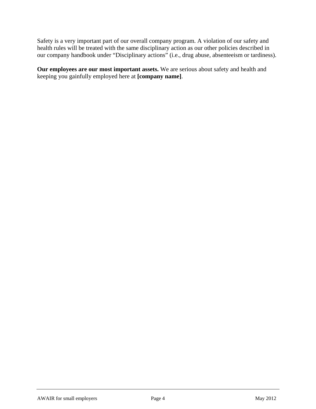Safety is a very important part of our overall company program. A violation of our safety and health rules will be treated with the same disciplinary action as our other policies described in our company handbook under "Disciplinary actions" (i.e., drug abuse, absenteeism or tardiness).

**Our employees are our most important assets.** We are serious about safety and health and keeping you gainfully employed here at **[company name]**.